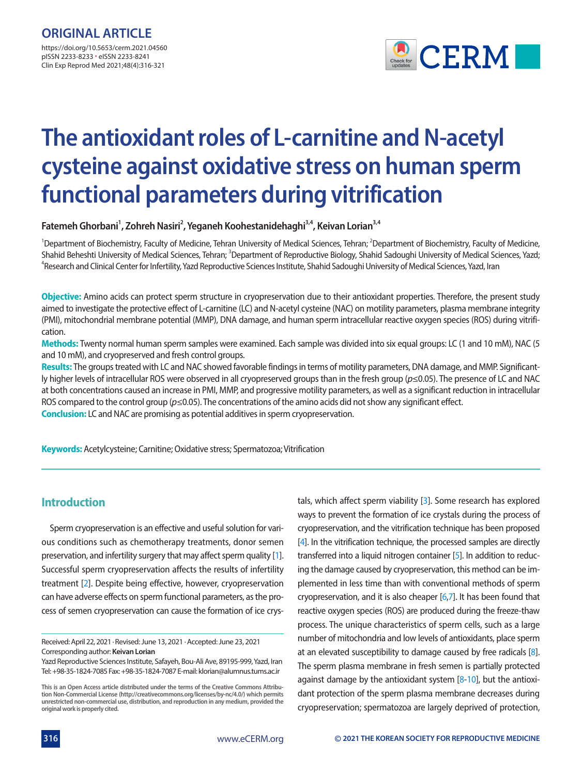

# **The antioxidant roles of L-carnitine and N-acetyl cysteine against oxidative stress on human sperm functional parameters during vitrification**

Fatemeh Ghorbani<sup>1</sup>, Zohreh Nasiri<sup>2</sup>, Yeganeh Koohestanidehaghi<sup>3,4</sup>, Keivan Lorian<sup>3,4</sup>

<sup>1</sup>Department of Biochemistry, Faculty of Medicine, Tehran University of Medical Sciences, Tehran; <sup>2</sup>Department of Biochemistry, Faculty of Medicine, Shahid Beheshti University of Medical Sciences, Tehran; <sup>3</sup>Department of Reproductive Biology, Shahid Sadoughi University of Medical Sciences, Yazd;<br><sup>4</sup>Pesearch and Clinical Contes for Infertility Yazd Benroductive Science <sup>4</sup>Research and Clinical Center for Infertility, Yazd Reproductive Sciences Institute, Shahid Sadoughi University of Medical Sciences, Yazd, Iran

**Objective:** Amino acids can protect sperm structure in cryopreservation due to their antioxidant properties. Therefore, the present study aimed to investigate the protective effect of L-carnitine (LC) and N-acetyl cysteine (NAC) on motility parameters, plasma membrane integrity (PMI), mitochondrial membrane potential (MMP), DNA damage, and human sperm intracellular reactive oxygen species (ROS) during vitrification.

**Methods:** Twenty normal human sperm samples were examined. Each sample was divided into six equal groups: LC (1 and 10 mM), NAC (5 and 10 mM), and cryopreserved and fresh control groups.

**Results:** The groups treated with LC and NAC showed favorable findings in terms of motility parameters, DNA damage, and MMP. Significantly higher levels of intracellular ROS were observed in all cryopreserved groups than in the fresh group (*p*≤0.05). The presence of LC and NAC at both concentrations caused an increase in PMI, MMP, and progressive motility parameters, as well as a significant reduction in intracellular ROS compared to the control group (*p*≤0.05). The concentrations of the amino acids did not show any significant effect. **Conclusion:** LC and NAC are promising as potential additives in sperm cryopreservation.

**Keywords:** Acetylcysteine; Carnitine; Oxidative stress; Spermatozoa; Vitrification

# **Introduction**

Sperm cryopreservation is an effective and useful solution for various conditions such as chemotherapy treatments, donor semen preservation, and infertility surgery that may affect sperm quality [\[1\]](#page-4-0). Successful sperm cryopreservation affects the results of infertility treatment [\[2](#page-4-1)]. Despite being effective, however, cryopreservation can have adverse effects on sperm functional parameters, as the process of semen cryopreservation can cause the formation of ice crys-

Received: April 22, 2021 ∙ Revised: June 13, 2021 ∙ Accepted: June 23, 2021 Corresponding author: **Keivan Lorian** 

tals, which affect sperm viability [\[3\]](#page-4-2). Some research has explored ways to prevent the formation of ice crystals during the process of cryopreservation, and the vitrification technique has been proposed [\[4\]](#page-4-3). In the vitrification technique, the processed samples are directly transferred into a liquid nitrogen container [\[5](#page-4-4)]. In addition to reducing the damage caused by cryopreservation, this method can be implemented in less time than with conventional methods of sperm cryopreservation, and it is also cheaper [\[6](#page-4-5)[,7\]](#page-4-6). It has been found that reactive oxygen species (ROS) are produced during the freeze-thaw process. The unique characteristics of sperm cells, such as a large number of mitochondria and low levels of antioxidants, place sperm at an elevated susceptibility to damage caused by free radicals [\[8](#page-4-4)]. The sperm plasma membrane in fresh semen is partially protected against damage by the antioxidant system  $[8-10]$  $[8-10]$  $[8-10]$ , but the antioxidant protection of the sperm plasma membrane decreases during cryopreservation; spermatozoa are largely deprived of protection,

Yazd Reproductive Sciences Institute, Safayeh, Bou-Ali Ave, 89195-999, Yazd, Iran Tel: +98-35-1824-7085 Fax: +98-35-1824-7087 E-mail: klorian@alumnus.tums.ac.ir

**This is an Open Access article distributed under the terms of the Creative Commons Attribution Non-Commercial License (http://creativecommons.org/licenses/by-nc/4.0/) which permits unrestricted non-commercial use, distribution, and reproduction in any medium, provided the original work is properly cited.**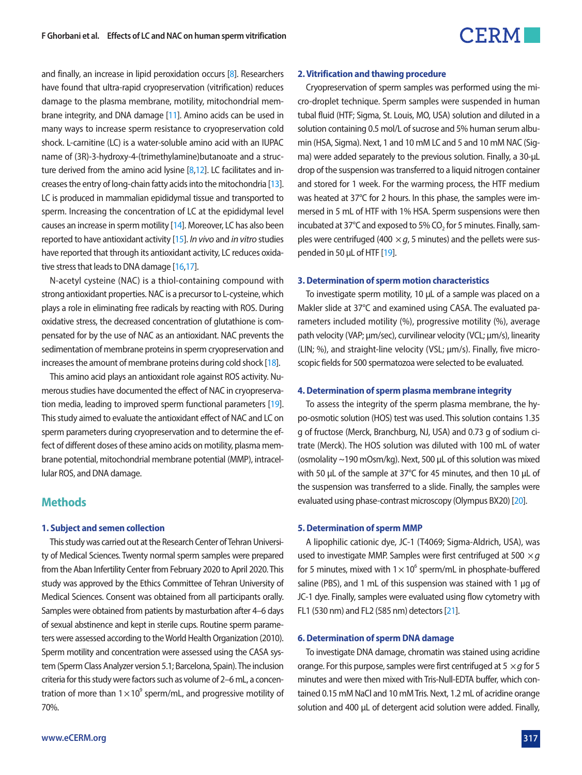# $\mathsf{CERM}$

and finally, an increase in lipid peroxidation occurs [\[8\]](#page-4-4). Researchers have found that ultra-rapid cryopreservation (vitrification) reduces damage to the plasma membrane, motility, mitochondrial membrane integrity, and DNA damage [\[11](#page-4-8)]. Amino acids can be used in many ways to increase sperm resistance to cryopreservation cold shock. L-carnitine (LC) is a water-soluble amino acid with an IUPAC name of (3R)-3-hydroxy-4-(trimethylamine)butanoate and a structure derived from the amino acid lysine  $[8,12]$  $[8,12]$  $[8,12]$ . LC facilitates and increases the entry of long-chain fatty acids into the mitochondria [\[13](#page-4-10)]. LC is produced in mammalian epididymal tissue and transported to sperm. Increasing the concentration of LC at the epididymal level causes an increase in sperm motility [\[14](#page-4-11)]. Moreover, LC has also been reported to have antioxidant activity [\[15](#page-4-12)]. *In vivo* and *in vitro* studies have reported that through its antioxidant activity, LC reduces oxidative stress that leads to DNA damage [\[16](#page-4-13)[,17](#page-4-14)].

N-acetyl cysteine (NAC) is a thiol-containing compound with strong antioxidant properties. NAC is a precursor to L-cysteine, which plays a role in eliminating free radicals by reacting with ROS. During oxidative stress, the decreased concentration of glutathione is compensated for by the use of NAC as an antioxidant. NAC prevents the sedimentation of membrane proteins in sperm cryopreservation and increases the amount of membrane proteins during cold shock [\[18\]](#page-4-15).

This amino acid plays an antioxidant role against ROS activity. Numerous studies have documented the effect of NAC in cryopreservation media, leading to improved sperm functional parameters [\[19\]](#page-4-12). This study aimed to evaluate the antioxidant effect of NAC and LC on sperm parameters during cryopreservation and to determine the effect of different doses of these amino acids on motility, plasma membrane potential, mitochondrial membrane potential (MMP), intracellular ROS, and DNA damage.

### **Methods**

#### **1. Subject and semen collection**

This study was carried out at the Research Center of Tehran University of Medical Sciences. Twenty normal sperm samples were prepared from the Aban Infertility Center from February 2020 to April 2020. This study was approved by the Ethics Committee of Tehran University of Medical Sciences. Consent was obtained from all participants orally. Samples were obtained from patients by masturbation after 4–6 days of sexual abstinence and kept in sterile cups. Routine sperm parameters were assessed according to the World Health Organization (2010). Sperm motility and concentration were assessed using the CASA system (Sperm Class Analyzer version 5.1; Barcelona, Spain). The inclusion criteria for this study were factors such as volume of 2–6 mL, a concentration of more than  $1 \times 10^9$  sperm/mL, and progressive motility of 70%.

#### **2. Vitrification and thawing procedure**

Cryopreservation of sperm samples was performed using the micro-droplet technique. Sperm samples were suspended in human tubal fluid (HTF; Sigma, St. Louis, MO, USA) solution and diluted in a solution containing 0.5 mol/L of sucrose and 5% human serum albumin (HSA, Sigma). Next, 1 and 10 mM LC and 5 and 10 mM NAC (Sigma) were added separately to the previous solution. Finally, a 30-µL drop of the suspension was transferred to a liquid nitrogen container and stored for 1 week. For the warming process, the HTF medium was heated at 37°C for 2 hours. In this phase, the samples were immersed in 5 mL of HTF with 1% HSA. Sperm suspensions were then incubated at 37°C and exposed to 5% CO<sub>2</sub> for 5 minutes. Finally, samples were centrifuged (400  $\times$  *g*, 5 minutes) and the pellets were suspended in 50 µL of HTF [19].

#### **3. Determination of sperm motion characteristics**

To investigate sperm motility, 10 µL of a sample was placed on a Makler slide at 37°C and examined using CASA. The evaluated parameters included motility (%), progressive motility (%), average path velocity (VAP; µm/sec), curvilinear velocity (VCL; µm/s), linearity (LIN; %), and straight-line velocity (VSL; µm/s). Finally, five microscopic fields for 500 spermatozoa were selected to be evaluated.

#### **4. Determination of sperm plasma membrane integrity**

To assess the integrity of the sperm plasma membrane, the hypo-osmotic solution (HOS) test was used. This solution contains 1.35 g of fructose (Merck, Branchburg, NJ, USA) and 0.73 g of sodium citrate (Merck). The HOS solution was diluted with 100 mL of water (osmolality ~190 mOsm/kg). Next, 500 µL of this solution was mixed with 50 µL of the sample at 37°C for 45 minutes, and then 10 µL of the suspension was transferred to a slide. Finally, the samples were evaluated using phase-contrast microscopy (Olympus BX20) [\[20](#page-4-13)].

#### **5. Determination of sperm MMP**

A lipophilic cationic dye, JC-1 (T4069; Sigma-Aldrich, USA), was used to investigate MMP. Samples were first centrifuged at 500 ×*g* for 5 minutes, mixed with  $1 \times 10^6$  sperm/mL in phosphate-buffered saline (PBS), and 1 mL of this suspension was stained with 1 µg of JC-1 dye. Finally, samples were evaluated using flow cytometry with FL1 (530 nm) and FL2 (585 nm) detectors [\[21](#page-4-16)].

#### **6. Determination of sperm DNA damage**

To investigate DNA damage, chromatin was stained using acridine orange. For this purpose, samples were first centrifuged at 5 ×*g* for 5 minutes and were then mixed with Tris-Null-EDTA buffer, which contained 0.15 mM NaCl and 10 mM Tris. Next, 1.2 mL of acridine orange solution and 400 µL of detergent acid solution were added. Finally,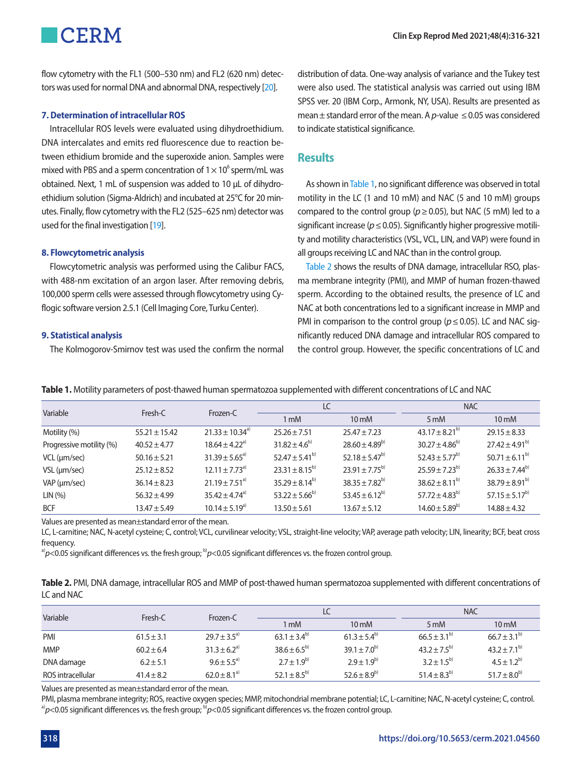flow cytometry with the FL1 (500–530 nm) and FL2 (620 nm) detectors was used for normal DNA and abnormal DNA, respectively [\[20\]](#page-4-13).

#### **7. Determination of intracellular ROS**

**CERM** 

Intracellular ROS levels were evaluated using dihydroethidium. DNA intercalates and emits red fluorescence due to reaction between ethidium bromide and the superoxide anion. Samples were mixed with PBS and a sperm concentration of  $1 \times 10^6$  sperm/mL was obtained. Next, 1 mL of suspension was added to 10 μL of dihydroethidium solution (Sigma-Aldrich) and incubated at 25°C for 20 minutes. Finally, flow cytometry with the FL2 (525–625 nm) detector was used for the final investigation [19].

#### **8. Flowcytometric analysis**

Flowcytometric analysis was performed using the Calibur FACS, with 488-nm excitation of an argon laser. After removing debris, 100,000 sperm cells were assessed through flowcytometry using Cyflogic software version 2.5.1 (Cell Imaging Core, Turku Center).

#### **9. Statistical analysis**

The Kolmogorov-Smirnov test was used the confirm the normal

distribution of data. One-way analysis of variance and the Tukey test were also used. The statistical analysis was carried out using IBM SPSS ver. 20 (IBM Corp., Armonk, NY, USA). Results are presented as mean  $\pm$  standard error of the mean. A p-value  $\leq$  0.05 was considered to indicate statistical significance.

#### **Results**

As shown in [Table 1,](#page-2-0) no significant difference was observed in total motility in the LC (1 and 10 mM) and NAC (5 and 10 mM) groups compared to the control group ( $p \ge 0.05$ ), but NAC (5 mM) led to a significant increase ( $p \le 0.05$ ). Significantly higher progressive motility and motility characteristics (VSL, VCL, LIN, and VAP) were found in all groups receiving LC and NAC than in the control group.

[Table 2](#page-2-1) shows the results of DNA damage, intracellular RSO, plasma membrane integrity (PMI), and MMP of human frozen-thawed sperm. According to the obtained results, the presence of LC and NAC at both concentrations led to a significant increase in MMP and PMI in comparison to the control group (*p* ≤ 0.05). LC and NAC significantly reduced DNA damage and intracellular ROS compared to the control group. However, the specific concentrations of LC and

| Variable                 | Fresh-C           | Frozen-C                       | LC                   |                          | <b>NAC</b>           |                      |
|--------------------------|-------------------|--------------------------------|----------------------|--------------------------|----------------------|----------------------|
|                          |                   |                                | 1 mM                 | $10 \text{ mM}$          | $5 \text{ mM}$       | $10 \text{ mM}$      |
| Motility (%)             | $55.21 \pm 15.42$ | $21.33 + 10.34^{a}$            | $25.26 \pm 7.51$     | $25.47 \pm 7.23$         | $43.17 \pm 8.21^{b}$ | $29.15 \pm 8.33$     |
| Progressive motility (%) | $40.52 \pm 4.77$  | $18.64 \pm 4.22$ <sup>a)</sup> | $31.82 + 4.6^{b}$    | $28.60 \pm 4.89^{b}$     | $30.27 \pm 4.86^{b}$ | $77.42 + 4.91^{b}$   |
| $VCL$ ( $µm/sec$ )       | $50.16 \pm 5.21$  | $31.39 \pm 5.65^{a}$           | $52.47 + 5.41^{b}$   | $52.18 \pm 5.47^{\rm b}$ | $52.43 \pm 5.77^{b}$ | $50.71 \pm 6.11^{b}$ |
| $VSL$ ( $\mu$ m/sec)     | $25.12 \pm 8.52$  | $12.11 + 7.73^{a}$             | $23.31 \pm 8.15^{b}$ | $23.91 + 7.75^{b}$       | $25.59 \pm 7.23^{b}$ | $76.33 + 7.44^{b}$   |
| VAP (um/sec)             | $36.14 \pm 8.23$  | $21.19 \pm 7.51^{a}$           | $35.29 \pm 8.14^{b}$ | $38.35 + 7.82^{b}$       | $38.62 \pm 8.11^{b}$ | $38.79 + 8.91^{b}$   |
| LIN(%)                   | $56.32 \pm 4.99$  | $35.42 + 4.74^{a}$             | $53.22 + 5.66^{b}$   | $53.45 + 6.12^{b}$       | $57.72 + 4.83^{b}$   | $57.15 + 5.17^{b}$   |
| <b>BCF</b>               | $13.47 \pm 5.49$  | $10.14 \pm 5.19^{a}$           | $13.50 \pm 5.61$     | $13.67 \pm 5.12$         | $14.60 \pm 5.89^{b}$ | $14.88 \pm 4.32$     |

<span id="page-2-0"></span>**Table 1.** Motility parameters of post-thawed human spermatozoa supplemented with different concentrations of LC and NAC

Values are presented as mean±standard error of the mean.

LC, L-carnitine; NAC, N-acetyl cysteine; C, control; VCL, curvilinear velocity; VSL, straight-line velocity; VAP, average path velocity; LIN, linearity; BCF, beat cross frequency.

a) $p$ <0.05 significant differences vs. the fresh group; <sup>b</sup>) $p$ <0.05 significant differences vs. the frozen control group.

<span id="page-2-1"></span>

| Table 2. PMI, DNA damage, intracellular ROS and MMP of post-thawed human spermatozoa supplemented with different concentrations of |  |  |
|------------------------------------------------------------------------------------------------------------------------------------|--|--|
| LC and NAC                                                                                                                         |  |  |

| Variable          | Fresh-C        | Frozen-C                     | LC                 |                  | <b>NAC</b>       |                  |
|-------------------|----------------|------------------------------|--------------------|------------------|------------------|------------------|
|                   |                |                              | 1 mM               | $10 \text{ mM}$  | $5 \text{ mM}$   | $10 \text{ mM}$  |
| PMI               | $61.5 \pm 3.1$ | $29.7 \pm 3.5^{a}$           | $63.1 + 3.4^{b}$   | $61.3 + 5.4^{b}$ | $66.5 + 3.1^{b}$ | $66.7 + 3.1^{b}$ |
| <b>MMP</b>        | $60.2 \pm 6.4$ | $31.3 \pm 6.2^{a}$           | $38.6 \pm 6.5^{b}$ | $39.1 + 7.0^{b}$ | $43.2 + 7.5^{b}$ | $43.2 + 7.1^{b}$ |
| DNA damage        | $6.2 \pm 5.1$  | $9.6 + 5.5^{a}$              | $2.7 + 1.9^{b}$    | $7.9 + 1.9^{b}$  | $3.2 + 1.5^{b}$  | $4.5 + 1.2^{b}$  |
| ROS intracellular | $41.4 + 8.2$   | $62.0 \pm 8.1$ <sup>a)</sup> | $52.1 + 8.5^{b}$   | $52.6 + 8.9^{b}$ | $51.4 + 8.3^{b}$ | $51.7 + 8.0^{b}$ |

Values are presented as mean±standard error of the mean.

PMI, plasma membrane integrity; ROS, reactive oxygen species; MMP, mitochondrial membrane potential; LC, L-carnitine; NAC, N-acetyl cysteine; C, control. <sup>a</sup>) $p$ <0.05 significant differences vs. the fresh group; <sup>b</sup>) $p$ <0.05 significant differences vs. the frozen control group.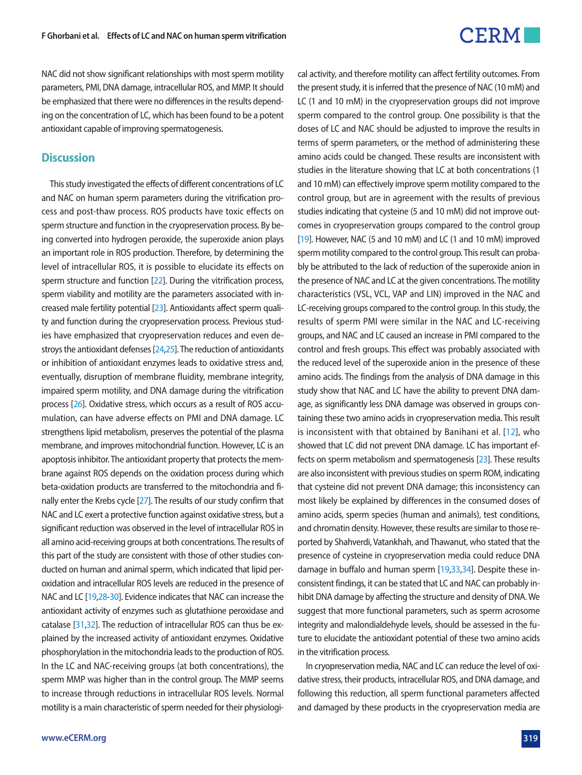

NAC did not show significant relationships with most sperm motility parameters, PMI, DNA damage, intracellular ROS, and MMP. It should be emphasized that there were no differences in the results depending on the concentration of LC, which has been found to be a potent antioxidant capable of improving spermatogenesis.

#### **Discussion**

This study investigated the effects of different concentrations of LC and NAC on human sperm parameters during the vitrification process and post-thaw process. ROS products have toxic effects on sperm structure and function in the cryopreservation process. By being converted into hydrogen peroxide, the superoxide anion plays an important role in ROS production. Therefore, by determining the level of intracellular ROS, it is possible to elucidate its effects on sperm structure and function [\[22\]](#page-4-17). During the vitrification process, sperm viability and motility are the parameters associated with increased male fertility potential [\[23](#page-4-18)]. Antioxidants affect sperm quality and function during the cryopreservation process. Previous studies have emphasized that cryopreservation reduces and even destroys the antioxidant defenses [\[24,](#page-5-0)[25\]](#page-5-1). The reduction of antioxidants or inhibition of antioxidant enzymes leads to oxidative stress and, eventually, disruption of membrane fluidity, membrane integrity, impaired sperm motility, and DNA damage during the vitrification process [\[26](#page-5-2)]. Oxidative stress, which occurs as a result of ROS accumulation, can have adverse effects on PMI and DNA damage. LC strengthens lipid metabolism, preserves the potential of the plasma membrane, and improves mitochondrial function. However, LC is an apoptosis inhibitor. The antioxidant property that protects the membrane against ROS depends on the oxidation process during which beta-oxidation products are transferred to the mitochondria and finally enter the Krebs cycle [\[27\]](#page-5-3). The results of our study confirm that NAC and LC exert a protective function against oxidative stress, but a significant reduction was observed in the level of intracellular ROS in all amino acid-receiving groups at both concentrations. The results of this part of the study are consistent with those of other studies conducted on human and animal sperm, which indicated that lipid peroxidation and intracellular ROS levels are reduced in the presence of NAC and LC [19[,28](#page-5-4)[-30](#page-5-5)]. Evidence indicates that NAC can increase the antioxidant activity of enzymes such as glutathione peroxidase and catalase [\[31](#page-5-6)[,32\]](#page-5-7). The reduction of intracellular ROS can thus be explained by the increased activity of antioxidant enzymes. Oxidative phosphorylation in the mitochondria leads to the production of ROS. In the LC and NAC-receiving groups (at both concentrations), the sperm MMP was higher than in the control group. The MMP seems to increase through reductions in intracellular ROS levels. Normal motility is a main characteristic of sperm needed for their physiologiLC (1 and 10 mM) in the cryopreservation groups did not improve sperm compared to the control group. One possibility is that the doses of LC and NAC should be adjusted to improve the results in terms of sperm parameters, or the method of administering these amino acids could be changed. These results are inconsistent with studies in the literature showing that LC at both concentrations (1 and 10 mM) can effectively improve sperm motility compared to the control group, but are in agreement with the results of previous studies indicating that cysteine (5 and 10 mM) did not improve outcomes in cryopreservation groups compared to the control group [\[19](#page-4-19)]. However, NAC (5 and 10 mM) and LC (1 and 10 mM) improved sperm motility compared to the control group. This result can probably be attributed to the lack of reduction of the superoxide anion in the presence of NAC and LC at the given concentrations. The motility characteristics (VSL, VCL, VAP and LIN) improved in the NAC and LC-receiving groups compared to the control group. In this study, the results of sperm PMI were similar in the NAC and LC-receiving groups, and NAC and LC caused an increase in PMI compared to the control and fresh groups. This effect was probably associated with the reduced level of the superoxide anion in the presence of these amino acids. The findings from the analysis of DNA damage in this study show that NAC and LC have the ability to prevent DNA damage, as significantly less DNA damage was observed in groups containing these two amino acids in cryopreservation media. This result is inconsistent with that obtained by Banihani et al. [\[12\]](#page-4-20), who showed that LC did not prevent DNA damage. LC has important effects on sperm metabolism and spermatogenesis [\[23](#page-4-21)]. These results are also inconsistent with previous studies on sperm ROM, indicating that cysteine did not prevent DNA damage; this inconsistency can most likely be explained by differences in the consumed doses of amino acids, sperm species (human and animals), test conditions, and chromatin density. However, these results are similar to those reported by Shahverdi, Vatankhah, and Thawanut, who stated that the presence of cysteine in cryopreservation media could reduce DNA damage in buffalo and human sperm [\[19,](#page-4-19)[33](#page-5-8)[,34](#page-5-9)]. Despite these inconsistent findings, it can be stated that LC and NAC can probably inhibit DNA damage by affecting the structure and density of DNA. We suggest that more functional parameters, such as sperm acrosome integrity and malondialdehyde levels, should be assessed in the future to elucidate the antioxidant potential of these two amino acids

cal activity, and therefore motility can affect fertility outcomes. From the present study, it is inferred that the presence of NAC (10 mM) and

In cryopreservation media, NAC and LC can reduce the level of oxidative stress, their products, intracellular ROS, and DNA damage, and following this reduction, all sperm functional parameters affected and damaged by these products in the cryopreservation media are

in the vitrification process.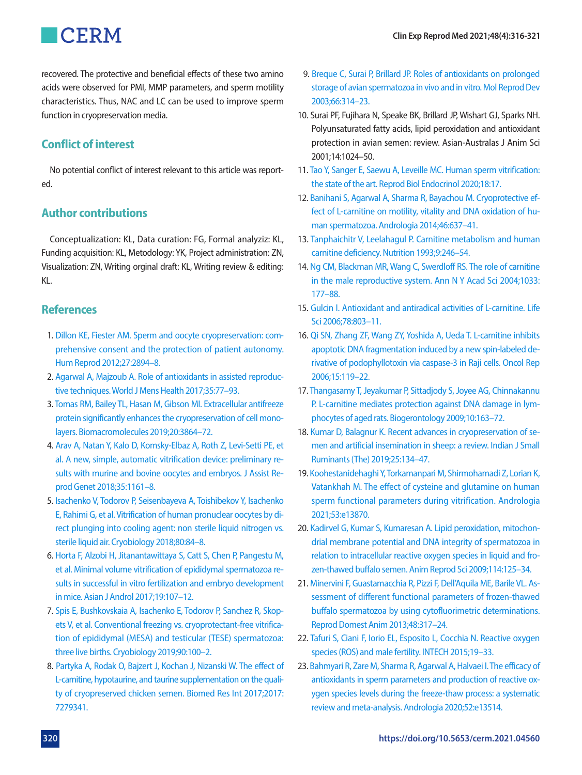

recovered. The protective and beneficial effects of these two amino acids were observed for PMI, MMP parameters, and sperm motility characteristics. Thus, NAC and LC can be used to improve sperm function in cryopreservation media.

# **Conflict of interest**

No potential conflict of interest relevant to this article was reported.

# **Author contributions**

Conceptualization: KL, Data curation: FG, Formal analyziz: KL, Funding acquisition: KL, Metodology: YK, Project administration: ZN, Visualization: ZN, Writing orginal draft: KL, Writing review & editing: KL.

## **References**

- <span id="page-4-0"></span>1. [Dillon KE, Fiester AM. Sperm and oocyte cryopreservation: com](https://doi.org/10.1093/humrep/des290)[prehensive consent and the protection of patient autonomy.](https://doi.org/10.1093/humrep/des290)  [Hum Reprod 2012;27:2894–8.](https://doi.org/10.1093/humrep/des290)
- <span id="page-4-1"></span>2. [Agarwal A, Majzoub A. Role of antioxidants in assisted reproduc](https://doi.org/10.5534/wjmh.2017.35.2.77)[tive techniques. World J Mens Health 2017;35:77–93.](https://doi.org/10.5534/wjmh.2017.35.2.77)
- <span id="page-4-2"></span>3. Tomas RM[, Bailey TL, Hasan M, Gibson MI. Extracellular antifreeze](https://doi.org/10.1021/acs.biomac.9b00951)  [protein significantly enhances the cryopreservation of cell mono](https://doi.org/10.1021/acs.biomac.9b00951)[layers. Biomacromolecules 2019;20:3864–72.](https://doi.org/10.1021/acs.biomac.9b00951)
- <span id="page-4-3"></span>4. [Arav A, Natan Y, Kalo D, Komsky-Elbaz A, Roth Z, Levi-Setti PE, et](https://doi.org/10.1007/s10815-018-1210-9)  [al. A new, simple, automatic vitrification device: preliminary re](https://doi.org/10.1007/s10815-018-1210-9)[sults with murine and bovine oocytes and embryos. J Assist Re](https://doi.org/10.1007/s10815-018-1210-9)[prod Genet 2018;35:1161–8.](https://doi.org/10.1007/s10815-018-1210-9)
- <span id="page-4-4"></span>5. Isachenko V, [Todorov P, Seisenbayeva A, Toishibekov Y, Isachenko](https://doi.org/10.1016/j.cryobiol.2017.11.009)  [E, Rahimi G, et al. Vitrification of human pronuclear oocytes by di](https://doi.org/10.1016/j.cryobiol.2017.11.009)[rect plunging into cooling agent: non sterile liquid nitrogen vs.](https://doi.org/10.1016/j.cryobiol.2017.11.009)  [sterile liquid air. Cryobiology 2018;80:84–8](https://doi.org/10.1016/j.cryobiol.2017.11.009).
- <span id="page-4-5"></span>6[. Horta F, Alzobi H, Jitanantawittaya S, Catt S, Chen P, Pangestu M,](https://www.ncbi.nlm.nih.gov/pubmed/27427551)  [et al. Minimal volume vitrification of epididymal spermatozoa re](https://www.ncbi.nlm.nih.gov/pubmed/27427551)[sults in successful in vitro fertilization and embryo development](https://www.ncbi.nlm.nih.gov/pubmed/27427551)  [in mice. Asian J Androl 2017;19:107–12](https://www.ncbi.nlm.nih.gov/pubmed/27427551).
- <span id="page-4-6"></span>7[. Spis E, Bushkovskaia A, Isachenko E, Todorov P, Sanchez R, Skop](https://doi.org/10.1016/j.cryobiol.2019.08.003)[ets V, et al. Conventional freezing vs. cryoprotectant-free vitrifica](https://doi.org/10.1016/j.cryobiol.2019.08.003)[tion of epididymal \(MESA\) and testicular \(TESE\) spermatozoa:](https://doi.org/10.1016/j.cryobiol.2019.08.003)  [three live births. Cryobiology 2019;90:100–2.](https://doi.org/10.1016/j.cryobiol.2019.08.003)
- 8. [Partyka A, Rodak O, Bajzert J, Kochan J, Nizanski W. The effect of](https://doi.org/10.1155/2017/7279341)  [L-carnitine, hypotaurine, and taurine supplementation on the quali](https://doi.org/10.1155/2017/7279341)[ty of cryopreserved chicken semen. Biomed Res Int 2017;2017:](https://doi.org/10.1155/2017/7279341) [7279341.](https://doi.org/10.1155/2017/7279341)
- <span id="page-4-20"></span>[9. Breque C, Surai P, Brillard JP. Roles of antioxidants on prolonged](https://doi.org/10.1002/mrd.10347)  [storage of avian spermatozoa in vivo and in vitro. Mol Reprod Dev](https://doi.org/10.1002/mrd.10347)  [2003;66:314–23.](https://doi.org/10.1002/mrd.10347)
- <span id="page-4-7"></span>10. Surai PF, Fujihara N, Speake BK, Brillard JP, Wishart GJ, Sparks NH. Polyunsaturated fatty acids, lipid peroxidation and antioxidant protection in avian semen: review. Asian-Australas J Anim Sci 2001;14:1024–50.
- <span id="page-4-8"></span>11[. Tao Y, Sanger E, Saewu A, Leveille MC. Human sperm vitrification:](https://doi.org/10.1186/s12958-020-00580-5)  [the state of the art. Reprod Biol Endocrinol 2020;18:17](https://doi.org/10.1186/s12958-020-00580-5).
- <span id="page-4-9"></span>12[. Banihani S, Agarwal A, Sharma R, Bayachou M. Cryoprotective ef](https://doi.org/10.1111/and.12130)[fect of L-carnitine on motility, vitality and DNA oxidation of hu](https://doi.org/10.1111/and.12130)[man spermatozoa. Andrologia 2014;46:637–41](https://doi.org/10.1111/and.12130).
- <span id="page-4-10"></span>1[3. Tanphaichitr V, Leelahagul P. Carnitine metabolism and human](https://www.ncbi.nlm.nih.gov/pubmed/8353366)  [carnitine deficiency. Nutrition 1993;9:246–54](https://www.ncbi.nlm.nih.gov/pubmed/8353366).
- <span id="page-4-11"></span>14[. Ng CM, Blackman MR, Wang C, Swerdloff RS. The role of carnitine](https://doi.org/10.1196/annals.1320.017)  [in the male reproductive system. Ann N Y Acad Sci 2004;1033:](https://doi.org/10.1196/annals.1320.017) [177–88](https://doi.org/10.1196/annals.1320.017).
- <span id="page-4-12"></span>15. Gulcin I. Antioxidant and antiradical activities of L-carnitine. Life Sci 2006;78:803–11.
- <span id="page-4-19"></span><span id="page-4-13"></span>16. Qi SN, Zhang ZF, Wang [ZY, Yoshida A, Ueda T. L-carnitine inhibits](https://doi.org/10.3892/or.15.1.119)  [apoptotic DNA fragmentation induced by a new spin-labeled de](https://doi.org/10.3892/or.15.1.119)[rivative of podophyllotoxin via caspase-3 in Raji cells. Oncol Rep](https://doi.org/10.3892/or.15.1.119)  [2006;15:119–2](https://doi.org/10.3892/or.15.1.119)2.
- <span id="page-4-14"></span>17[. Thangasamy T, Jeyakumar P, Sittadjody S, Joyee AG, Chinnakannu](https://doi.org/10.1007/s10522-008-9159-1)  [P. L-carnitine mediates protection against DNA damage in lym](https://doi.org/10.1007/s10522-008-9159-1)[phocytes of aged rats. Biogerontology 2009;10:163–72.](https://doi.org/10.1007/s10522-008-9159-1)
- <span id="page-4-15"></span>18[. Kumar D, Balagnur K. Recent advances in cryopreservation of se](https://doi.org/10.5958/0973-9718.2019.00043.6)[men and artificial insemination in sheep: a review. Indian J Small](https://doi.org/10.5958/0973-9718.2019.00043.6)  [Ruminants \(The\) 2019;25:134–47.](https://doi.org/10.5958/0973-9718.2019.00043.6)
- 19. [Koohestanidehaghi Y, Torkamanpari M, Shirmohamadi Z, Lorian K,](https://doi.org/10.1111/and.13870)  [Vatankhah M. The effect of cysteine and glutamine on human](https://doi.org/10.1111/and.13870)  [sperm functional parameters during vitrification. Andrologia](https://doi.org/10.1111/and.13870)  [2021;53:e13870.](https://doi.org/10.1111/and.13870)
- <span id="page-4-21"></span>20. Kadirvel G, Kumar S, Kuma[resan A. Lipid peroxidation, mitochon](https://doi.org/10.1016/j.anireprosci.2008.10.002)[drial membrane potential and DNA integrity of spermatozoa in](https://doi.org/10.1016/j.anireprosci.2008.10.002)  [relation to intracellular reactive oxygen species in liquid and fro](https://doi.org/10.1016/j.anireprosci.2008.10.002)[zen-thawed buffalo semen. Anim Reprod Sci](https://doi.org/10.1016/j.anireprosci.2008.10.002) 2009;114:125–34.
- <span id="page-4-16"></span>21[. Minervini F, Guastamacchia R, Pizzi F, Dell'Aquila ME, Barile VL. As](https://doi.org/10.1111/j.1439-0531.2012.02152.x)[sessment of different functional parameters of frozen-thawed](https://doi.org/10.1111/j.1439-0531.2012.02152.x)  [buffalo spermatozoa by using cytofluorimetric determinations.](https://doi.org/10.1111/j.1439-0531.2012.02152.x)  [Reprod Domest Anim 2013;48:317–24](https://doi.org/10.1111/j.1439-0531.2012.02152.x).
- <span id="page-4-17"></span>2[2. Tafuri S, Ciani F, Iorio EL, Esposito L, Cocchia N. Reactive oxygen](https://doi.org/10.5772/60632)  [species \(ROS\) and male fertility. INTECH 2015;19–33](https://doi.org/10.5772/60632).
- <span id="page-4-18"></span>23[. Bahmyari R, Zare M, Sharma R, Agarwal A, Halvaei I. The efficacy of](https://doi.org/10.1111/and.13514)  [antioxidants in sperm parameters and production of reactive ox](https://doi.org/10.1111/and.13514)[ygen species levels during the freeze-thaw process: a systematic](https://doi.org/10.1111/and.13514)  [review and meta-analysis. Andrologi](https://doi.org/10.1111/and.13514)a 2020;52:e13514.